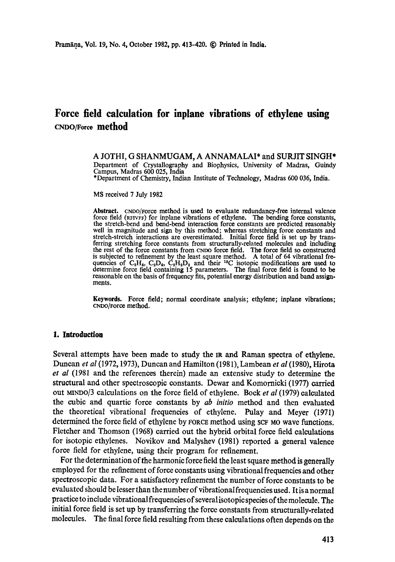# **Force field calculation for inplane vibrations of ethylene using CNDO/Force method**

A JOTHI, G SHANMUGAM, A ANNAMALAI\* and SURJIT SINGH\* Department of Crystallography and Biophysics, University of Madras, Guindy Campus, Madras 600 025, India

\*Department of Chemistry, Indian Institute of Technology, Madras 600 036, India.

MS received 7 July 1982

**Abstract.** CNDO/Force method is used to evaluate redundancy-free internal valence force field (RFlVFF) for inplane vibrations of ethylene. The bending force constants, the stretch-bend and bend-bend interaction force constants are predicted reasonably well in magnitude and sign by this method; whereas stretching force constants and stretch-stretch interactions are overestimated. Initial force field is set up by transferring stretching force constants from structurally-related molecules and including **the** rest of the force constants from CNDO force field. The force field so constructed is subjected to refinement by the least square method. A total of 64 vibrational frequencies of  $C_2H_4$ ,  $C_2D_4$ ,  $C_2H_2D_2$  and their <sup>13</sup>C isotopic modifications are used to determine force field containing 15 parameters. The final force field is found to be reasonable on the basis of frequency fits, potential energy distribution and band assign. ments.

**Keywords.** Force field; normal coordinate analysis; ethylene; inplane **vibrations;**  CNDO/Force **method.** 

## **1. Introduction**

Several attempts have been made to study the IR and Raman spectra of ethylene. Duncan *et al* (1972, 1973), Duncan and Hamilton (1981), Lambean *et al* (1980), Hirota *et al* (1981 and the references therein) made an extensive study to determine the structural and other spectroscopic constants. Dewar and Komornicki (1977) carried out MINDO/3 calculations on the force field of ethylene. Bocket *al* (1979) calculated the cubic and quartic force constants by *ab initio* method and then evaluated the theoretical vibrational frequencies of ethylene. Pulay and Meyer (1971) determined the force field of ethylene by FORCE method using SCF MO wave functions. Fletcher and Thomson (1968) carried out the hybrid orbital force field calculations for isotopic ethylenes. Novikov and Malyshev (1981) reported a general valence force field for ethylene, using their program for refinement.

For the determination of the harmonic force field the least square method is generally employed for the refinement of force constants using vibrational frequencies and other spectroscopic data. For a satisfactory refinement the number of force constants to be evaluated should be lesser than the number of vibrational frequencies used. It is a normal practice to include vibrational frequencies of several isotopic species of the molecule. The initial force field is set up by transferring the force constants from structurally-related molecules. The final force field resulting from these calculations often depends on the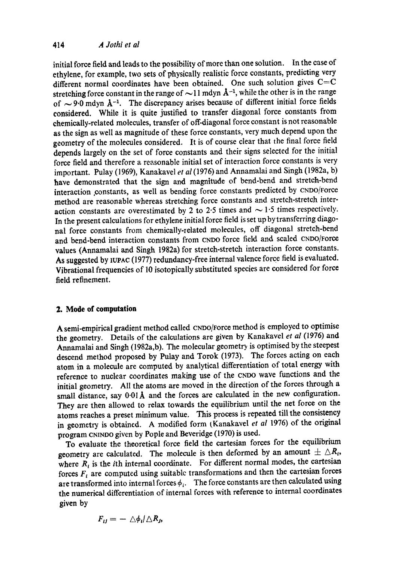initial force field and leads to the possibility of more than one solution. In the case of ethylene, for example, two sets of physically realistic force constants, predicting very different normal coordinates have been obtained. One such solution gives  $C=C$ stretching force constant in the range of  $\sim$ 11 mdyn  $\AA$ <sup>-1</sup>, while the other is in the range of  $\sim$  9.0 mdyn  $A^{-1}$ . The discrepancy arises because of different initial force fields considered. While it is quite justified to transfer diagonal force constants from chemically-related molecules, transfer of off-diagonal force constant is not reasonable as the sign as well as magnitude of these force constants, very much depend upon the geometry of the molecules considered. It is of course clear that the final force field depends largely on the set of force constants and their signs selected for the initial force field and therefore a reasonable initial set of interaction force constants is very important. Pulay (1969), Kanakavel *et al* (1976) and Annamalai and Singh (1982a, b) have demonstrated that the sign and magnitude of bend-bend and stretch-bend interaction constants, as well as bending force constants predicted by CNDO/Force method are reasonable whereas stretching force constants and stretch-stretch interaction constants are overestimated by 2 to 2.5 times and  $\sim$  1.5 times respectively. In the present calculations for ethylene initial force field is set up bytransferring diagonal force constants from chemically-related molecules, off diagonal stretch-bend and bend-bend interaction constants from CNDO force field and scaled cNDo/Foree values (Annamalai and Singh 1982a) for stretch-stretch interaction force constants. As suggested by IUPAC (1977) redundancy-free internal valence force field is evaluated. Vibrational frequencies of 10 isotopically substituted species are considered for force field refinement.

## **2. Mode of computation**

A semi-empirical gradient method called CNDO/Force method is employed to optimise the geometry. Details of the calculations are given by Kanakavel *et al* (1976) and Annamalai and Singh (1982a,b). The molecular geometry is optimised by the steepest descend method proposed by Pulay and Torok (1973). The forces acting on each atom in a molecule are computed by analytical differentiation of total energy with reference to nuclear coordinates making use of the CNDO wave functions and the initial geometry. All the atoms are moved in the direction of the forces through a small distance, say  $0.01$ Å and the forces are calculated in the new configuration. They are then allowed to relax towards the equilibrium until the net force on the atoms reaches a preset minimum value. This process is repeated till the consistency in geometry is obtained. A modified form (Kanakavel *et al 1976)* of the original program CNINDO given by Pople and Beveridge (1970) is used.

To evaluate the theoretical force field the cartesian forces for the equilibrium geometry are calculated. The molecule is then deformed by an amount  $\pm \Delta R_t$ , where  $R_i$  is the *i*th internal coordinate. For different normal modes, the cartesian forces  $F_t$  are computed using suitable transformations and then the cartesian forces are transformed into internal forces  $\phi_i$ . The force constants are then calculated using the numerical differentiation of internal forces with reference to internal coordinates given by

$$
F_{ij}=-\triangle\phi_i/\triangle R_j,
$$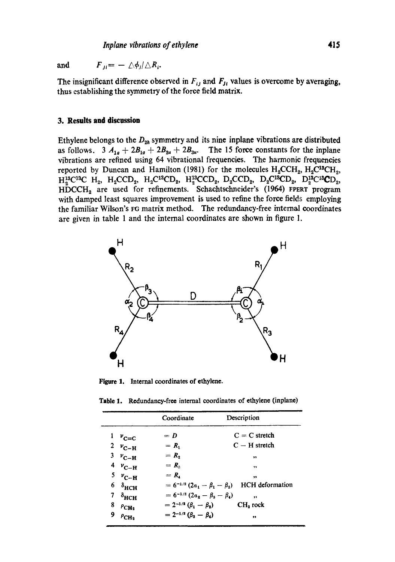and  $F_{ii} = -\langle \phi_i | \triangle R_i$ .

The insignificant difference observed in  $F_{ij}$  and  $F_{ji}$  values is overcome by averaging, thus establishing the symmetry of the force field matrix.

## **3. Results and discussion**

Ethylene belongs to the  $D_{2h}$  symmetry and its nine inplane vibrations are distributed as follows.  $3 A_{1a} + 2B_{1g} + 2B_{2u} + 2B_{3u}$ . The 15 force constants for the inplane vibrations are refined using 64 vibrational frequencies. The harmonic frequencies reported by Duncan and Hamilton (1981) for the molecules  $H_2CCH_2$ ,  $H_2C^{13}CH_2$ ,  $H_2^{13}C^{13}C$   $H_2$ ,  $H_2CCD_2$ ,  $H_2C^{13}CD_2$ ,  $H_2^{13}CCD_2$ ,  $D_2CCD_2$ ,  $D_2C^{13}CD_2$ ,  $D_2^{13}CD_2$ , HDCCH<sub>2</sub> are used for refinements. Schachtschneider's (1964) FPERT program with damped least squares improvement is used to refine the force fields employing the familiar Wilson's FG matrix method. The redundancy-free internal coordinates are given in table 1 and the internal coordinates are shown in figure 1.



Figure 1. Internal coordinates of ethylene.

|  | <b>Table 1.</b> Redundancy-free internal coordinates of ethylene (inplane) |  |  |  |  |  |  |
|--|----------------------------------------------------------------------------|--|--|--|--|--|--|
|--|----------------------------------------------------------------------------|--|--|--|--|--|--|

|                           | Coordinate                              | Description            |
|---------------------------|-----------------------------------------|------------------------|
| $v_{\rm c=c}$             | $= D$                                   | $C = C$ stretch        |
| 2 $v_{C-H}$               | $= R_{1}$                               | $C - H$ stretch        |
| $3 \nu_{\text{C-H}}$      | $= R_{2}$                               | ,,                     |
| $4 v_{C-H}$               | $= R_{\rm a}$                           | ,,                     |
| $5 v_{C-H}$               | $= R_{i}$                               | ,                      |
| $6 \delta_{HCH}$          | $= 6^{-1/2} (2a_1 - \beta_1 - \beta_2)$ | <b>HCH</b> deformation |
| $7 \delta_{\text{HCH}}$   | $= 6^{-1/2} (2a_2 - \beta_3 - \beta_4)$ | .,                     |
| 8<br>$\rho_{\text{CH}_2}$ | $= 2^{-1/2} (\beta_1 - \beta_2)$        | CH <sub>2</sub> rock   |
| 9<br>$P_{CH_2}$           | $= 2^{-1/2} (\beta_3 - \beta_4)$        | ,,                     |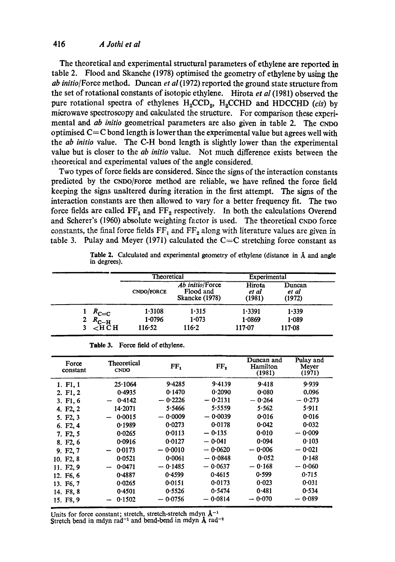The theoretical and experimental structural parameters of ethylene are reported in table 2. Flood and Skanche (1978) optimised the geometry of ethylene by using the *ab initio*/Force method. Duncan *et al* (1972) reported the ground state structure from the set of rotational constants of isotopic ethylene. Hirota *et al* (1981) observed the pure rotational spectra of ethylenes H<sub>2</sub>CCD<sub>2</sub>, H<sub>2</sub>CCHD and HDCCHD *(cis)* by microwave spectroscopy and calculated the structure. For comparison these experimental and *ab initio* geometrical parameters are also given in table 2. The CNDO optimised  $C=C$  bond length is lower than the experimental value but agrees well with the *ab initio* value. The C-H bond length is slightly lower than the experimental value but is closer to the *ab initio* value. Not much difference exists between the theoretical and experimental values of the angle considered.

Two types of force fields are considered. Since the signs of the interaction constants predicted by the CNDO/Force method are reliable, we have refined the force field keeping the signs unaltered during iteration in the first attempt. The signs of the interaction constants are then allowed to vary for a better frequency fit. The two force fields are called  $FF_1$  and  $FF_2$  respectively. In both the calculations Overend and Scherer's (1960) absolute weighting factor is used. The theoretical CNDO force constants, the final force fields  $FF_1$  and  $FF_2$  along with literature values are given in table 3. Pulay and Meyer (1971) calculated the  $C=C$  stretching force constant as

|   |                              | Theoretical |                                                       | Experimental              |                           |  |
|---|------------------------------|-------------|-------------------------------------------------------|---------------------------|---------------------------|--|
|   |                              | CNDO/FORCE  | Ab initio/Force<br>Flood and<br><b>Skancke (1978)</b> | Hirota<br>et al<br>(1981) | Duncan<br>et al<br>(1972) |  |
|   | $R_{\text{C}=\text{C}}$      | 1.3108      | 1.315                                                 | 1.3391                    | 1.339                     |  |
| 2 | $R_{\textrm{C-H}}$           | 1.0796      | 1.073                                                 | 1.0869                    | 1.089                     |  |
|   | $\epsilon$ H $\bar{\rm C}$ H | 116.52      | 116.2                                                 | $117 - 07$                | $117 - 08$                |  |

|              |  | Table 2. Calculated and experimental geometry of ethylene (distance in $\tilde{A}$ and angle |  |  |  |  |
|--------------|--|----------------------------------------------------------------------------------------------|--|--|--|--|
| in degrees). |  |                                                                                              |  |  |  |  |

| <b>Theoretical</b><br><b>CNDO</b> | FF <sub>1</sub> | FF,       | Duncan and<br>Hamilton<br>(1981)  | Pulay and<br>Mever<br>(1971) |
|-----------------------------------|-----------------|-----------|-----------------------------------|------------------------------|
| 25.1064                           | 9.4285          | 9.4139    | 9.418                             | 9.939                        |
| 0.4935                            | 0.1470          | 0.2090    | 0.080                             | 0.096                        |
| 0.4142                            | $-0.2226$       | $-0.2131$ | 0.264<br>$\overline{\phantom{a}}$ | $-0.273$                     |
| 14.2071                           | 5.5466          | 5.5559    | 5.562                             | 5.911                        |
| 0.0015                            | $-0.0009$       | $-0.0039$ | 0.016                             | 0.016                        |
| 0.1989                            | 0.0273          | 0.0178    | 0.042                             | 0.032                        |
| 0.0265                            | 0.0113          | $-0.135$  | 0.010                             | $-0.009$                     |
| 0.0916                            | 0.0127          | $-0.041$  | 0.094                             | 0.103                        |
| 0.0173                            | $-0.0010$       | $-0.0620$ | $-0.006$                          | $-0.021$                     |
| 0.0521                            | 0.0061          | $-0.0848$ | 0.052                             | 0.148                        |
| 0.0471                            | $-0.1485$       | $-0.0637$ | $-0.168$                          | $-0.060$                     |
| 0.4887                            | 0.4599          | 0.4615    | 0.599                             | 0.715                        |
| 0.0265                            | 0.0151          | 0.0173    | 0.023                             | 0.031                        |
| 0.4501                            | 0.5526          | 0.5474    | 0.481                             | 0.534                        |
| 0.1502                            | $-0.0756$       | $-0.0814$ | $-0.070$                          | 0.089                        |
|                                   |                 |           |                                   |                              |

Table 3. Force field of ethylene.

Units for force constant; stretch, stretch-stretch mdyn  $A^{-1}$ Stretch bend in mdyn rad<sup>-1</sup> and bend-bend in mdyn  $\AA$  rad<sup>-2</sup>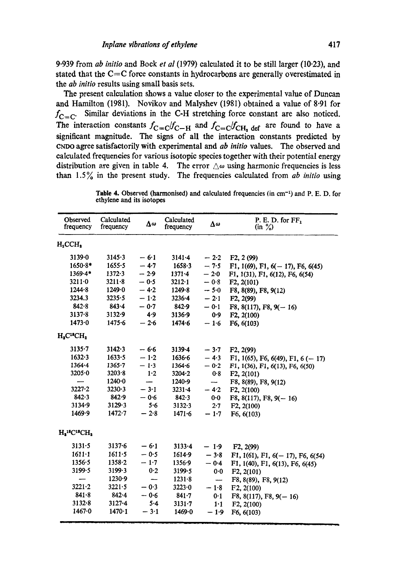9.939 from *ab initio* and Book *et al* (1979) calculated it to be still larger (10.23), and stated that the  $C=C$  force constants in hydrocarbons are generally overestimated in the *ab initio* results using small basis sets.

The present calculation shows a value closer to the experimental value of Duncan and Hamilton (1981). Novikov and Malyshev (1981) obtained a value of 8.91 for  $f_{C=C}$ . Similar deviations in the C-H stretching force constant are also noticed. The interaction constants  $f_{C=C}/f_{C-H}$  and  $f_{C=C}/f_{CH_2}$  def are found to have a significant magnitude. The signs of all the interaction constants predicted by CNDO agree satisfactorily with experimental and *ab initio* values. The observed and calculated frequencies for various isotopic species together with their potential energy distribution are given in table 4. The error  $\Delta\omega$  using harmonic frequencies is less than 1.5% in the present study. The frequencies calculated from *ab initio* using

Table 4. Observed (harmonised) and calculated frequencies (in cm<sup>-1</sup>) and P. E. D. for ethylene and its isotopes

| Observed<br>frequency                               | Calculated<br>frequency | Δω     | Calculated<br>frequency | Δω                       | P. E. D. for $FF_1$<br>$(in \frac{9}{9})$ |
|-----------------------------------------------------|-------------------------|--------|-------------------------|--------------------------|-------------------------------------------|
| $H_2CCH_2$                                          |                         |        |                         |                          |                                           |
| $3139 - 0$                                          | 3145.3                  | $-6.1$ | $3141 - 4$              | $-2.2$                   | F2, 2 (99)                                |
| $1650.8*$                                           | $1655 - 5$              | $-4.7$ | $1658 - 3$              | $-7.5$                   | F1, 1(69), F1, $6(-17)$ , F6, $6(45)$     |
| 1369.4*                                             | 1372.3                  | $-2.9$ | $1371 - 4$              | $-2.0$                   | F1, 1(31), F1, 6(12), F6, 6(54)           |
| $3211 - 0$                                          | $3211 - 8$              | $-0.5$ | $3212 \cdot 1$          | $-0.8$                   | F2, 2(101)                                |
| 1244.8                                              | 1249.0                  | $-4.2$ | 1249.8                  | $-5.0$                   | F8, 8(89), F8, 9(12)                      |
| 3234.3                                              | 3235.5                  | $-1.2$ | $3236 - 4$              | $-2.1$                   | F2, 2(99)                                 |
| $842 - 8$                                           | $843 - 4$               | $-0.7$ | 842.9                   | $-0.1$                   | $F8, 8(117), F8, 9(-16)$                  |
| $3137 - 8$                                          | 3132.9                  | 4.9    | 3136.9                  | 0.9                      | F2, 2(100)                                |
| 1473.0                                              | $1475 - 6$              | $-2.6$ | 1474.6                  | $-1.6$                   | F6, 6(103)                                |
| $H_2C^2CH_2$                                        |                         |        |                         |                          |                                           |
| $3135 - 7$                                          | 3142.3                  | $-6.6$ | 3139-4                  | $-3.7$                   | F2, 2(99)                                 |
| 1632.3                                              | 1633.5                  | $-1.2$ | $1636 - 6$              | $-4.3$                   | F1, 1(65), F6, 6(49), F1, 6 (-17)         |
| $1364 - 4$                                          | $1365 - 7$              | $-1.3$ | $1364 - 6$              | $-0.2$                   | F1, 1(36), F1, 6(13), F6, 6(50)           |
| 3205.0                                              | 3203.8                  | 1.2    | 3204.2                  | 0.8                      | F2, 2(101)                                |
|                                                     | $1240 - 0$              | —      | 1240.9                  | $-$                      | F8, 8(89), F8, 9(12)                      |
| $3227 - 2$                                          | 3230.3                  | $-3.1$ | $3231 - 4$              | $-4.2$                   | F2, 2(100)                                |
| 842.3                                               | 842.9                   | $-0.6$ | 842.3                   | $0-0$                    | $F8, 8(117), F8, 9(-16)$                  |
| 3134.9                                              | 3129.3                  | 5.6    | 3132.3                  | 2.7                      | F2, 2(100)                                |
| 1469.9                                              | $1472 - 7$              | $-2.8$ | $1471 - 6$              | $-1.7$                   | F6, 6(103)                                |
| $H_2$ <sup>15</sup> C <sup>13</sup> CH <sub>2</sub> |                         |        |                         |                          |                                           |
| 3131.5                                              | $3137 - 6$              | $-6.1$ | $3133 - 4$              | $-1.9$                   | F2, 2(99)                                 |
| $1611 - 1$                                          | $1611 - 5$              | $-0.5$ | 1614.9                  | $-3.8$                   | F1, 1(61), F1, $6(-17)$ , F6, $6(54)$     |
| $1356 - 5$                                          | $1358 - 2$              | $-1.7$ | 1356.9                  | $-0.4$                   | F1, 1(40), F1, 6(13), F6, 6(45)           |
| 3199.5                                              | 3199.3                  | 0.2    | 3199.5                  | 0.0                      | F2, 2(101)                                |
|                                                     | 1230.9                  |        | $1231 - 8$              | $\overline{\phantom{0}}$ | F8, 8(89), F8, 9(12)                      |
| $3221 - 2$                                          | $3221 - 5$              | $-0.3$ | 3223.0                  | $-1.8$                   | F2, 2(100)                                |
| $841 - 8$                                           | $842 - 4$               | $-0.6$ | $841 - 7$               | 0.1                      | $F8, 8(117), F8, 9(-16)$                  |
| $3132 - 8$                                          | $3127 - 4$              | 5.4    | $3131 - 7$              | $1-1$                    | F2, 2(100)                                |
| 1467.0                                              | $1470 - 1$              | $-3.1$ | 1469.0                  | $-1.9$                   | F6, 6(103)                                |
|                                                     |                         |        |                         |                          |                                           |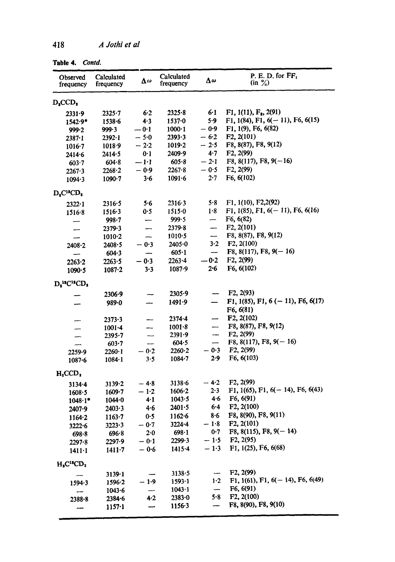| $1$ and $\bullet$ , $1$ communically |                         |         |                         |                          |                                           |
|--------------------------------------|-------------------------|---------|-------------------------|--------------------------|-------------------------------------------|
| Observed<br>frequency                | Calculated<br>frequency | Δω      | Calculated<br>frequency | Δω                       | P. E. D. for $FF_1$<br>$(in \frac{9}{6})$ |
| $D_{s}CCD_{s}$                       |                         |         |                         |                          |                                           |
| 2331.9                               | $2325 - 7$              | 6.2     | 2325.8                  | 6.1                      | F1, 1(11), F <sub>2</sub> , 2(91)         |
| $1542.9*$                            | $1538 - 6$              | 4.3     | $1537 - 0$              | 5.9                      | F1, 1(84), F1, $6(-11)$ , F6, $6(15)$     |
| 999.2                                | 999.3                   | $-0.1$  | $1000 \cdot 1$          | $-0.9$                   | F1, 1(9), F6, 6(82)                       |
| $2387 - 1$                           | $2392 - 1$              | $-5.0$  | 2393.3                  | $-6.2$                   | F2, 2(101)                                |
| $1016 - 7$                           | 1018.9                  | $-2.2$  | $1019 - 2$              | $-2.5$                   | F8, 8(87), F8, 9(12)                      |
| $2414 - 6$                           | $2414 - 5$              | 0.1     | 2409.9                  | 4.7                      | F2, 2(99)                                 |
| 603.7                                | 604.8                   | $-1-1$  | $605 - 8$               | $-2.1$                   | $F8, 8(117), F8, 9(-16)$                  |
| 2267.3                               | $2268 - 2$              | $-0.9$  | 2267.8                  | $-0.5$                   | F2, 2(99)                                 |
| $1094 - 3$                           | $1090 - 7$              | 3.6     | $1091 - 6$              | $2 - 7$                  | F6, 6(102)                                |
| $D_2C^1CD_2$                         |                         |         |                         |                          |                                           |
| $2322 - 1$                           | 2316.5                  | 5.6     | 2316.3                  | 5.8                      | F1, 1(10), F2,2(92)                       |
| $1516 - 8$                           | 1516.3                  | 0.5     | 1515.0                  | 1.8                      | F1, $1(85)$ , F1, $6(-11)$ , F6, $6(16)$  |
| -                                    | $998 - 7$               |         | 999.5                   | —                        | F6, 6(82)                                 |
| -                                    | 2379.3                  |         | 2379.8                  | $\overline{\phantom{0}}$ | F2, 2(101)                                |
| -                                    | $1010 - 2$              | --      | $1010-5$                | $\overline{\phantom{a}}$ | F8, 8(87), F8, 9(12)                      |
| 2408.2                               | 2408.5                  | $-0.3$  | $2405 - 0$              | $3-2$                    | F2, 2(100)                                |
| --                                   | $604 - 3$               | —       | 605.1                   | $\overline{\phantom{m}}$ | F8, $8(117)$ , F8, $9(-16)$               |
| $2263 - 2$                           | 2263.5                  | $-0.3$  | $2263 - 4$              | $-0.2$                   | F2, 2(99)                                 |
| $1090 - 5$                           | $1087 - 2$              | 3.3     | $1087 - 9$              | 2.6                      | F6, 6(102)                                |
| $D_2^{\text{10}}C^{\text{11}}CD_2$   |                         |         |                         |                          |                                           |
|                                      | 2306.9                  |         | 2305.9                  |                          | F2, 2(93)                                 |
|                                      | 989.0                   |         | 1491.9                  | $\equiv$                 | F1, 1(85), F1, 6 (-11), F6, 6(17)         |
|                                      |                         |         |                         |                          | F6, 6(81)                                 |
|                                      | $2373 - 3$              | --      | $2374 - 4$              | --                       | F2, 2(102)                                |
| --                                   | $1001 - 4$              | --      | $1001 - 8$              | --                       | F8, 8(87), F8, 9(12)                      |
| -                                    | $2395 - 7$              |         | 2391.9                  | $\overline{\phantom{a}}$ | F2, 2(99)                                 |
| —                                    | $603 - 7$               | --      | 604.5                   | $\overline{\phantom{m}}$ | $F8, 8(117), F8, 9(-16)$                  |
| 2259.9                               | $2260 \cdot 1$          | $-0.2$  | 2260.2                  | $-0.3$                   | F2, 2(99)                                 |
| $1087 - 6$                           | $1084 - 1$              | 3.5     | $1084 - 7$              | 2.9                      | F6, 6(103)                                |
| $H_2CCD_1$                           |                         |         |                         |                          |                                           |
| $3134 - 4$                           | 3139.2                  | $-4.8$  | $3138 - 6$              | $-4.2$                   | F2, 2(99)                                 |
| 1608.5                               | $1609 - 7$              | $-1.2$  | 1606.2                  | 2.3                      | F1, 1(65), F1, $6(-14)$ , F6, $6(43)$     |
| $1048 \cdot 1$ *                     | 1044.0                  | 4.1     | 1043.5                  | 4.6                      | F6, 6(91)                                 |
| 2407.9                               | 2403.3                  | 4.6     | 2401.5                  | 6.4                      | F2, 2(100)                                |
| $1164 - 2$                           | $1163 - 7$              | 0.5     | 1162.6                  | 8.6                      | F8, 8(90), F8, 9(11)                      |
| 3222.6                               | 3223.3                  | $-0.7$  | $3224 - 4$              | $-1.8$                   | F2, 2(101)                                |
| 698.8                                | 696.8                   | $2 - 0$ | 698.1                   | 0.7                      | $F8, 8(115), F8, 9(-14)$                  |
| $2297 - 8$                           | 2297.9                  | $-0.1$  | 2299.3                  | $-1.5$                   | F2, 2(95)                                 |
| $1411 - 1$                           | $1411 - 7$              | $-0.6$  | $1415 - 4$              | $-1.3$                   | F1, 1(25), F6, 6(68)                      |
| $H_2C^{12}CD_2$                      |                         |         |                         |                          |                                           |
|                                      | 3139.1                  |         | 3138.5                  | --                       | F2, 2(99)                                 |
| $1594 - 3$                           | $1596 - 2$              | $-1.9$  | $1593 - 1$              | $1-2$                    | F1, 1(61), F1, $6(-14)$ , F6, $6(49)$     |
|                                      | 1043.6                  |         | 1043.1                  | -                        | F6, 6(91)                                 |
| 2388.8                               | $2384 - 6$              | 4.2     | $2383 - 0$              | 5.8                      | F2, 2(100)                                |
|                                      | $1157-1$                |         | $1156-3$                |                          | F8, 8(90), F8, 9(10)                      |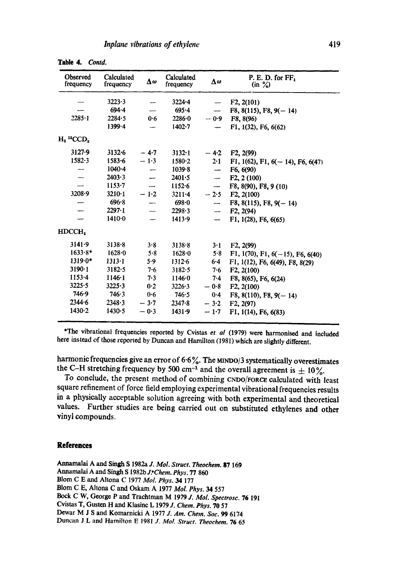| <b>Observed</b><br>frequency         | Calculated<br>frequency | Δω     | Calculated<br>frequency | Δω                       | P. E. D. for $FF_1$<br>$(in \frac{9}{6})$ |
|--------------------------------------|-------------------------|--------|-------------------------|--------------------------|-------------------------------------------|
|                                      | 3223.3                  |        | 3224.4                  | $\overline{\phantom{a}}$ | F2, 2(101)                                |
|                                      | $694 - 4$               |        | $695 - 4$               |                          | $F8, 8(115), F8, 9(-14)$                  |
| $2285 - 1$                           | 2284.5                  | 0.6    | $2286 - 0$              | $-0.9$                   | F8, 8(96)                                 |
|                                      | 1399.4                  |        | $1402 - 7$              | -                        | F1, 1(32), F6, 6(62)                      |
| $H_2$ <sup>13</sup> CCD <sub>2</sub> |                         |        |                         |                          |                                           |
| $3127 - 9$                           | 3132.6                  | $-4.7$ | 3132.1                  | $-4.2$                   | F2, 2(99)                                 |
| 1582.3                               | $1583 - 6$              | $-1.3$ | $1580 - 2$              | $2 - 1$                  | F1, 1(62), F1, 6( $-14$ ), F6, 6(47)      |
|                                      | 1040.4                  |        | $1039 - 8$              | $\overline{\phantom{a}}$ | F6, 6(90)                                 |
|                                      | 2403.3                  | ÷,     | 2401.5                  | $\overline{\phantom{a}}$ | F2, 2(100)                                |
|                                      | $1153 - 7$              |        | 1152.6                  | $\overline{\phantom{a}}$ | F8, 8(90), F8, 9 (10)                     |
| 3208.9                               | $3210-1$                | $-1.2$ | $3211 - 4$              | $-2.5$                   | F2, 2(100)                                |
|                                      | 696.8                   |        | 698.0                   | -                        | F8, 8(115), F8, $9(-14)$                  |
|                                      | $2297 \cdot 1$          |        | 2298.3                  | man.                     | F2, 2(94)                                 |
|                                      | $1410 - 0$              |        | 1413.9                  | $\overline{\phantom{0}}$ | F1, 1(28), F6, 6(65)                      |
| HDCCH <sub>2</sub>                   |                         |        |                         |                          |                                           |
| 3141.9                               | 3138.8                  | 3.8    | 3138.8                  | $3 \cdot 1$              | F2, 2(99)                                 |
| $1633.8*$                            | 1628.0                  | 5.8    | 1628.0                  | 5.8                      | F1, 1(70), F1, $6(-15)$ , F6, $6(40)$     |
| $1319.0*$                            | $1313 - 1$              | 5.9    | $1312 - 6$              | $6 - 4$                  | F1, 1(12), F6, 6(49), F8, 8(29)           |
| $3190-1$                             | 3182.5                  | 7·6    | 3182.5                  | 7.6                      | F2, 2(100)                                |
| $1153 - 4$                           | 1146.1                  | 7.3    | 1146.0                  | $7 - 4$                  | F8, 8(65), F6, 6(24)                      |
| $3225 - 5$                           | 3225.3                  | 0.2    | 3226.3                  | $-0.8$                   | F2, 2(100)                                |
| 746.9                                | 746.3                   | 0.6    | 746.5                   | 0.4                      | $F8, 8(110), F8, 9(-14)$                  |
| 2344.6                               | 2348.3                  | $-3.7$ | 2347.8                  | $-3.2$                   | F2, 2(97)                                 |
| 1430.2                               | 1430.5                  | $-0.3$ | 1431.9                  | $-1.7$                   | F1, 1(14), F6, 6(83)                      |

**Table** 4. *Contd.* 

\*The vibrational frequencies reported by Cvistas *et al* (1979) were harmonised and included here instead of those reported by Duncan and Hamilton (1981) which arc slightly different.

harmonic frequencies give an error of  $6.6\%$ . The MINDO/3 systematically overestimates the C-H stretching frequency by 500 cm<sup>-1</sup> and the overall agreement is  $\pm 10\%$ .

To conclude, the present method of combining CNDO/FORCE calculated with least square refinement of force field employing experimental vibrational frequencies results in a physically acceptable solution agreeing with both experimental and theoretical values. Further studies are being carried out on substituted ethylenes and other vinyl compounds.

## **References**

Annamalai A and Singh \$1982a *J. Mol. Struct. Theoehem.* 87 169 Annamalai A and Singh S 1982b *J:Chem. Phys.* 77 860 Blom C E and Altona C 1977 *Mol. Phys. 34* 177 Blom C E, Altona C and Oskam A 1977 *Mol. Phys.* 34 557 Bock C W, George P and Trachtman M 1979 *J. MoL Spectrosc.* 76 19I Cvistas T, Gusten H and Klasinc L 1979 *J. Chem. Phys.* 70 57 Dewar M J S and Komarnicki A 1977 *J. Am. Chem. Soc. 99* 6174 Duncan J L and Hamilton E 1981 *J. Mol. Struct. Theochem.* 76 65